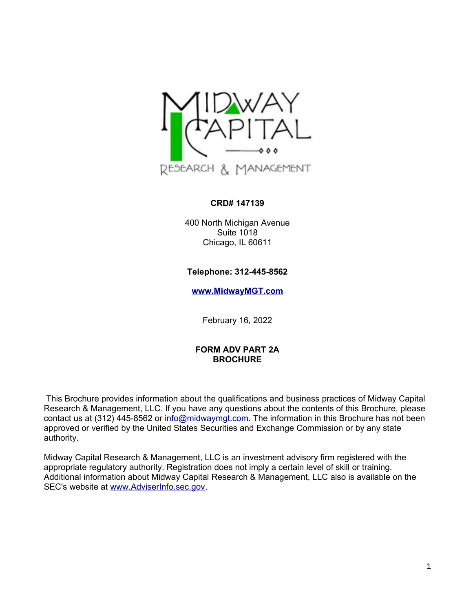

### **CRD# 147139**

400 North Michigan Avenue Suite 1018 Chicago, IL 60611

### **Telephone: 312-445-8562**

**[www.MidwayMGT.com](http://www.MidwayMGT.com/)**

February 16, 2022

### **FORM ADV PART 2A BROCHURE**

This Brochure provides information about the qualifications and business practices of Midway Capital Research & Management, LLC. If you have any questions about the contents of this Brochure, please contact us at (312) 445-8562 or [info@midwaymgt.com.](mailto:info@midwaymgt.com) The information in this Brochure has not been approved or verified by the United States Securities and Exchange Commission or by any state authority.

Midway Capital Research & Management, LLC is an investment advisory firm registered with the appropriate regulatory authority. Registration does not imply a certain level of skill or training. Additional information about Midway Capital Research & Management, LLC also is available on the SEC's website at [www.AdviserInfo.sec.gov.](http://www.AdviserInfo.sec.gov/)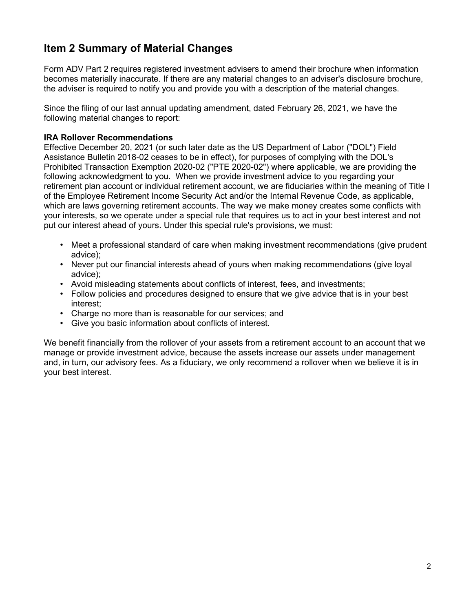# **Item 2 Summary of Material Changes**

Form ADV Part 2 requires registered investment advisers to amend their brochure when information becomes materially inaccurate. If there are any material changes to an adviser's disclosure brochure, the adviser is required to notify you and provide you with a description of the material changes.

Since the filing of our last annual updating amendment, dated February 26, 2021, we have the following material changes to report:

### **IRA Rollover Recommendations**

Effective December 20, 2021 (or such later date as the US Department of Labor ("DOL") Field Assistance Bulletin 2018-02 ceases to be in effect), for purposes of complying with the DOL's Prohibited Transaction Exemption 2020-02 ("PTE 2020-02") where applicable, we are providing the following acknowledgment to you. When we provide investment advice to you regarding your retirement plan account or individual retirement account, we are fiduciaries within the meaning of Title I of the Employee Retirement Income Security Act and/or the Internal Revenue Code, as applicable, which are laws governing retirement accounts. The way we make money creates some conflicts with your interests, so we operate under a special rule that requires us to act in your best interest and not put our interest ahead of yours. Under this special rule's provisions, we must:

- Meet a professional standard of care when making investment recommendations (give prudent advice);
- Never put our financial interests ahead of yours when making recommendations (give loyal advice);
- Avoid misleading statements about conflicts of interest, fees, and investments;
- Follow policies and procedures designed to ensure that we give advice that is in your best interest;
- Charge no more than is reasonable for our services; and
- Give you basic information about conflicts of interest.

We benefit financially from the rollover of your assets from a retirement account to an account that we manage or provide investment advice, because the assets increase our assets under management and, in turn, our advisory fees. As a fiduciary, we only recommend a rollover when we believe it is in your best interest.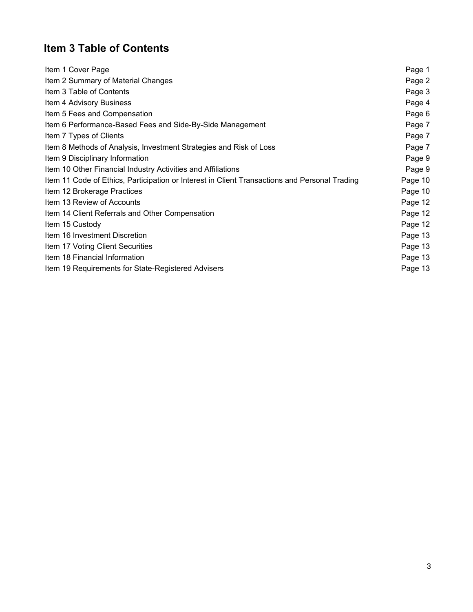# **Item 3 Table of Contents**

| Item 1 Cover Page                                                                             | Page 1  |
|-----------------------------------------------------------------------------------------------|---------|
| Item 2 Summary of Material Changes                                                            | Page 2  |
| Item 3 Table of Contents                                                                      | Page 3  |
| Item 4 Advisory Business                                                                      | Page 4  |
| Item 5 Fees and Compensation                                                                  | Page 6  |
| Item 6 Performance-Based Fees and Side-By-Side Management                                     | Page 7  |
| Item 7 Types of Clients                                                                       | Page 7  |
| Item 8 Methods of Analysis, Investment Strategies and Risk of Loss                            | Page 7  |
| Item 9 Disciplinary Information                                                               | Page 9  |
| Item 10 Other Financial Industry Activities and Affiliations                                  | Page 9  |
| Item 11 Code of Ethics, Participation or Interest in Client Transactions and Personal Trading | Page 10 |
| Item 12 Brokerage Practices                                                                   | Page 10 |
| Item 13 Review of Accounts                                                                    | Page 12 |
| Item 14 Client Referrals and Other Compensation                                               | Page 12 |
| Item 15 Custody                                                                               | Page 12 |
| Item 16 Investment Discretion                                                                 | Page 13 |
| Item 17 Voting Client Securities                                                              | Page 13 |
| Item 18 Financial Information                                                                 | Page 13 |
| Item 19 Requirements for State-Registered Advisers                                            | Page 13 |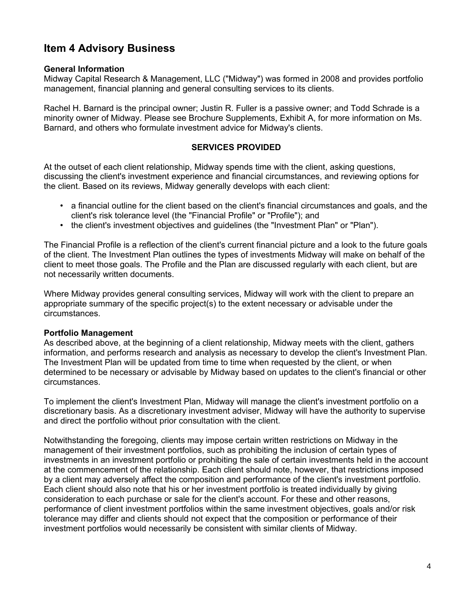## **Item 4 Advisory Business**

### **General Information**

Midway Capital Research & Management, LLC ("Midway") was formed in 2008 and provides portfolio management, financial planning and general consulting services to its clients.

Rachel H. Barnard is the principal owner; Justin R. Fuller is a passive owner; and Todd Schrade is a minority owner of Midway. Please see Brochure Supplements, Exhibit A, for more information on Ms. Barnard, and others who formulate investment advice for Midway's clients.

### **SERVICES PROVIDED**

At the outset of each client relationship, Midway spends time with the client, asking questions, discussing the client's investment experience and financial circumstances, and reviewing options for the client. Based on its reviews, Midway generally develops with each client:

- a financial outline for the client based on the client's financial circumstances and goals, and the client's risk tolerance level (the "Financial Profile" or "Profile"); and
- the client's investment objectives and guidelines (the "Investment Plan" or "Plan").

The Financial Profile is a reflection of the client's current financial picture and a look to the future goals of the client. The Investment Plan outlines the types of investments Midway will make on behalf of the client to meet those goals. The Profile and the Plan are discussed regularly with each client, but are not necessarily written documents.

Where Midway provides general consulting services, Midway will work with the client to prepare an appropriate summary of the specific project(s) to the extent necessary or advisable under the circumstances.

#### **Portfolio Management**

As described above, at the beginning of a client relationship, Midway meets with the client, gathers information, and performs research and analysis as necessary to develop the client's Investment Plan. The Investment Plan will be updated from time to time when requested by the client, or when determined to be necessary or advisable by Midway based on updates to the client's financial or other circumstances.

To implement the client's Investment Plan, Midway will manage the client's investment portfolio on a discretionary basis. As a discretionary investment adviser, Midway will have the authority to supervise and direct the portfolio without prior consultation with the client.

Notwithstanding the foregoing, clients may impose certain written restrictions on Midway in the management of their investment portfolios, such as prohibiting the inclusion of certain types of investments in an investment portfolio or prohibiting the sale of certain investments held in the account at the commencement of the relationship. Each client should note, however, that restrictions imposed by a client may adversely affect the composition and performance of the client's investment portfolio. Each client should also note that his or her investment portfolio is treated individually by giving consideration to each purchase or sale for the client's account. For these and other reasons, performance of client investment portfolios within the same investment objectives, goals and/or risk tolerance may differ and clients should not expect that the composition or performance of their investment portfolios would necessarily be consistent with similar clients of Midway.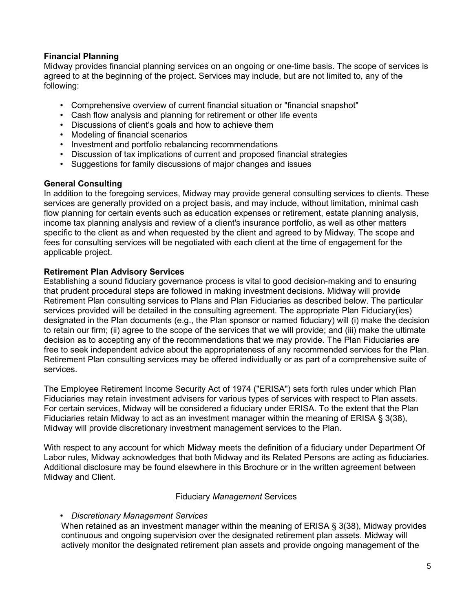### **Financial Planning**

Midway provides financial planning services on an ongoing or one-time basis. The scope of services is agreed to at the beginning of the project. Services may include, but are not limited to, any of the following:

- Comprehensive overview of current financial situation or "financial snapshot"
- Cash flow analysis and planning for retirement or other life events
- Discussions of client's goals and how to achieve them
- Modeling of financial scenarios
- Investment and portfolio rebalancing recommendations
- Discussion of tax implications of current and proposed financial strategies
- Suggestions for family discussions of major changes and issues

### **General Consulting**

In addition to the foregoing services, Midway may provide general consulting services to clients. These services are generally provided on a project basis, and may include, without limitation, minimal cash flow planning for certain events such as education expenses or retirement, estate planning analysis, income tax planning analysis and review of a client's insurance portfolio, as well as other matters specific to the client as and when requested by the client and agreed to by Midway. The scope and fees for consulting services will be negotiated with each client at the time of engagement for the applicable project.

### **Retirement Plan Advisory Services**

Establishing a sound fiduciary governance process is vital to good decision-making and to ensuring that prudent procedural steps are followed in making investment decisions. Midway will provide Retirement Plan consulting services to Plans and Plan Fiduciaries as described below. The particular services provided will be detailed in the consulting agreement. The appropriate Plan Fiduciary(ies) designated in the Plan documents (e.g., the Plan sponsor or named fiduciary) will (i) make the decision to retain our firm; (ii) agree to the scope of the services that we will provide; and (iii) make the ultimate decision as to accepting any of the recommendations that we may provide. The Plan Fiduciaries are free to seek independent advice about the appropriateness of any recommended services for the Plan. Retirement Plan consulting services may be offered individually or as part of a comprehensive suite of services.

The Employee Retirement Income Security Act of 1974 ("ERISA") sets forth rules under which Plan Fiduciaries may retain investment advisers for various types of services with respect to Plan assets. For certain services, Midway will be considered a fiduciary under ERISA. To the extent that the Plan Fiduciaries retain Midway to act as an investment manager within the meaning of ERISA § 3(38), Midway will provide discretionary investment management services to the Plan.

With respect to any account for which Midway meets the definition of a fiduciary under Department Of Labor rules, Midway acknowledges that both Midway and its Related Persons are acting as fiduciaries. Additional disclosure may be found elsewhere in this Brochure or in the written agreement between Midway and Client.

### Fiduciary *Management* Services

### • *Discretionary Management Services*

When retained as an investment manager within the meaning of ERISA § 3(38), Midway provides continuous and ongoing supervision over the designated retirement plan assets. Midway will actively monitor the designated retirement plan assets and provide ongoing management of the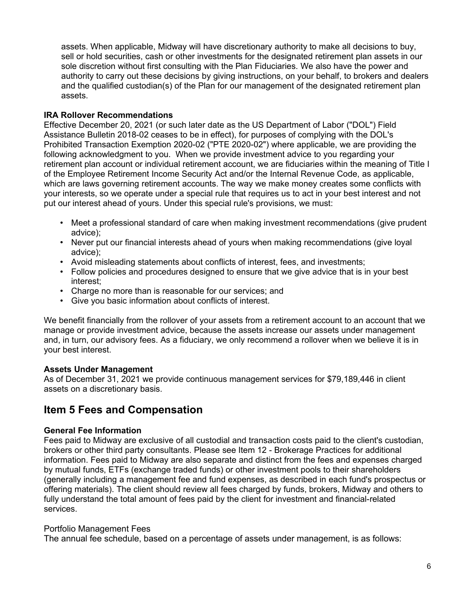assets. When applicable, Midway will have discretionary authority to make all decisions to buy, sell or hold securities, cash or other investments for the designated retirement plan assets in our sole discretion without first consulting with the Plan Fiduciaries. We also have the power and authority to carry out these decisions by giving instructions, on your behalf, to brokers and dealers and the qualified custodian(s) of the Plan for our management of the designated retirement plan assets.

### **IRA Rollover Recommendations**

Effective December 20, 2021 (or such later date as the US Department of Labor ("DOL") Field Assistance Bulletin 2018-02 ceases to be in effect), for purposes of complying with the DOL's Prohibited Transaction Exemption 2020-02 ("PTE 2020-02") where applicable, we are providing the following acknowledgment to you. When we provide investment advice to you regarding your retirement plan account or individual retirement account, we are fiduciaries within the meaning of Title I of the Employee Retirement Income Security Act and/or the Internal Revenue Code, as applicable, which are laws governing retirement accounts. The way we make money creates some conflicts with your interests, so we operate under a special rule that requires us to act in your best interest and not put our interest ahead of yours. Under this special rule's provisions, we must:

- Meet a professional standard of care when making investment recommendations (give prudent advice);
- Never put our financial interests ahead of yours when making recommendations (give loyal advice);
- Avoid misleading statements about conflicts of interest, fees, and investments;
- Follow policies and procedures designed to ensure that we give advice that is in your best interest;
- Charge no more than is reasonable for our services; and
- Give you basic information about conflicts of interest.

We benefit financially from the rollover of your assets from a retirement account to an account that we manage or provide investment advice, because the assets increase our assets under management and, in turn, our advisory fees. As a fiduciary, we only recommend a rollover when we believe it is in your best interest.

### **Assets Under Management**

As of December 31, 2021 we provide continuous management services for \$79,189,446 in client assets on a discretionary basis.

### **Item 5 Fees and Compensation**

### **General Fee Information**

Fees paid to Midway are exclusive of all custodial and transaction costs paid to the client's custodian, brokers or other third party consultants. Please see Item 12 - Brokerage Practices for additional information. Fees paid to Midway are also separate and distinct from the fees and expenses charged by mutual funds, ETFs (exchange traded funds) or other investment pools to their shareholders (generally including a management fee and fund expenses, as described in each fund's prospectus or offering materials). The client should review all fees charged by funds, brokers, Midway and others to fully understand the total amount of fees paid by the client for investment and financial-related services.

### Portfolio Management Fees

The annual fee schedule, based on a percentage of assets under management, is as follows: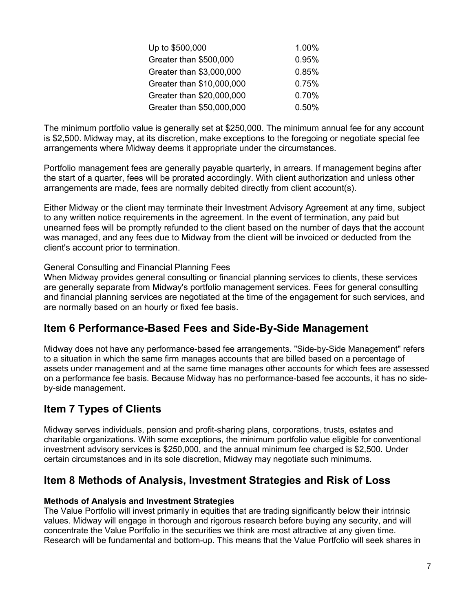| Up to \$500,000           | 1.00% |
|---------------------------|-------|
| Greater than \$500,000    | 0.95% |
| Greater than \$3,000,000  | 0.85% |
| Greater than \$10,000,000 | 0.75% |
| Greater than \$20,000,000 | 0.70% |
| Greater than \$50,000,000 | 0.50% |

The minimum portfolio value is generally set at \$250,000. The minimum annual fee for any account is \$2,500. Midway may, at its discretion, make exceptions to the foregoing or negotiate special fee arrangements where Midway deems it appropriate under the circumstances.

Portfolio management fees are generally payable quarterly, in arrears. If management begins after the start of a quarter, fees will be prorated accordingly. With client authorization and unless other arrangements are made, fees are normally debited directly from client account(s).

Either Midway or the client may terminate their Investment Advisory Agreement at any time, subject to any written notice requirements in the agreement. In the event of termination, any paid but unearned fees will be promptly refunded to the client based on the number of days that the account was managed, and any fees due to Midway from the client will be invoiced or deducted from the client's account prior to termination.

### General Consulting and Financial Planning Fees

When Midway provides general consulting or financial planning services to clients, these services are generally separate from Midway's portfolio management services. Fees for general consulting and financial planning services are negotiated at the time of the engagement for such services, and are normally based on an hourly or fixed fee basis.

### **Item 6 Performance-Based Fees and Side-By-Side Management**

Midway does not have any performance-based fee arrangements. "Side-by-Side Management" refers to a situation in which the same firm manages accounts that are billed based on a percentage of assets under management and at the same time manages other accounts for which fees are assessed on a performance fee basis. Because Midway has no performance-based fee accounts, it has no sideby-side management.

## **Item 7 Types of Clients**

Midway serves individuals, pension and profit-sharing plans, corporations, trusts, estates and charitable organizations. With some exceptions, the minimum portfolio value eligible for conventional investment advisory services is \$250,000, and the annual minimum fee charged is \$2,500. Under certain circumstances and in its sole discretion, Midway may negotiate such minimums.

### **Item 8 Methods of Analysis, Investment Strategies and Risk of Loss**

### **Methods of Analysis and Investment Strategies**

The Value Portfolio will invest primarily in equities that are trading significantly below their intrinsic values. Midway will engage in thorough and rigorous research before buying any security, and will concentrate the Value Portfolio in the securities we think are most attractive at any given time. Research will be fundamental and bottom-up. This means that the Value Portfolio will seek shares in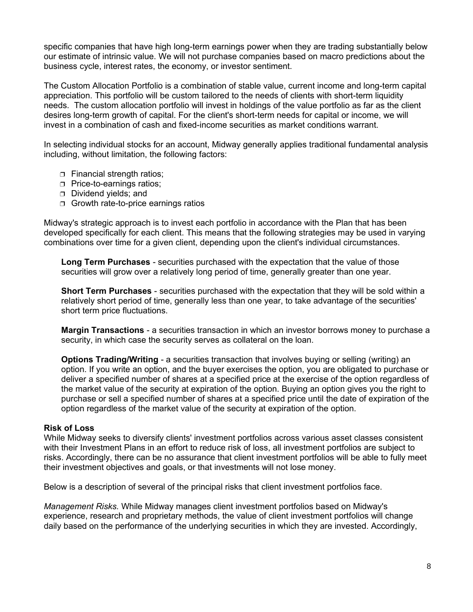specific companies that have high long-term earnings power when they are trading substantially below our estimate of intrinsic value. We will not purchase companies based on macro predictions about the business cycle, interest rates, the economy, or investor sentiment.

The Custom Allocation Portfolio is a combination of stable value, current income and long-term capital appreciation. This portfolio will be custom tailored to the needs of clients with short-term liquidity needs. The custom allocation portfolio will invest in holdings of the value portfolio as far as the client desires long-term growth of capital. For the client's short-term needs for capital or income, we will invest in a combination of cash and fixed-income securities as market conditions warrant.

In selecting individual stocks for an account, Midway generally applies traditional fundamental analysis including, without limitation, the following factors:

- **Financial strength ratios;**
- **Price-to-earnings ratios:**
- Dividend yields; and
- $\Box$  Growth rate-to-price earnings ratios

Midway's strategic approach is to invest each portfolio in accordance with the Plan that has been developed specifically for each client. This means that the following strategies may be used in varying combinations over time for a given client, depending upon the client's individual circumstances.

**Long Term Purchases** - securities purchased with the expectation that the value of those securities will grow over a relatively long period of time, generally greater than one year.

**Short Term Purchases** - securities purchased with the expectation that they will be sold within a relatively short period of time, generally less than one year, to take advantage of the securities' short term price fluctuations.

**Margin Transactions** - a securities transaction in which an investor borrows money to purchase a security, in which case the security serves as collateral on the loan.

**Options Trading/Writing** - a securities transaction that involves buying or selling (writing) an option. If you write an option, and the buyer exercises the option, you are obligated to purchase or deliver a specified number of shares at a specified price at the exercise of the option regardless of the market value of the security at expiration of the option. Buying an option gives you the right to purchase or sell a specified number of shares at a specified price until the date of expiration of the option regardless of the market value of the security at expiration of the option.

### **Risk of Loss**

While Midway seeks to diversify clients' investment portfolios across various asset classes consistent with their Investment Plans in an effort to reduce risk of loss, all investment portfolios are subject to risks. Accordingly, there can be no assurance that client investment portfolios will be able to fully meet their investment objectives and goals, or that investments will not lose money.

Below is a description of several of the principal risks that client investment portfolios face.

*Management Risks.* While Midway manages client investment portfolios based on Midway's experience, research and proprietary methods, the value of client investment portfolios will change daily based on the performance of the underlying securities in which they are invested. Accordingly,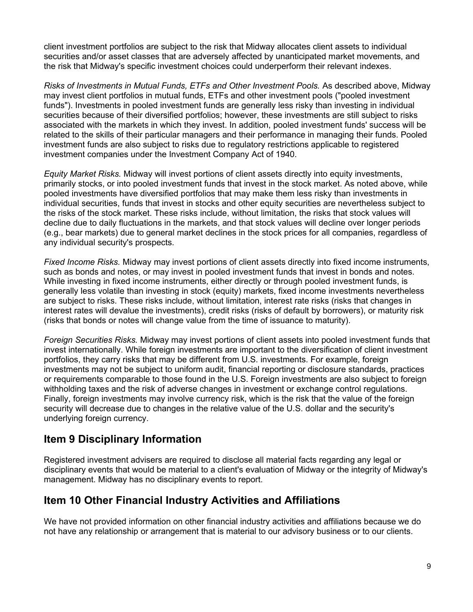client investment portfolios are subject to the risk that Midway allocates client assets to individual securities and/or asset classes that are adversely affected by unanticipated market movements, and the risk that Midway's specific investment choices could underperform their relevant indexes.

*Risks of Investments in Mutual Funds, ETFs and Other Investment Pools.* As described above, Midway may invest client portfolios in mutual funds, ETFs and other investment pools ("pooled investment funds"). Investments in pooled investment funds are generally less risky than investing in individual securities because of their diversified portfolios; however, these investments are still subject to risks associated with the markets in which they invest. In addition, pooled investment funds' success will be related to the skills of their particular managers and their performance in managing their funds. Pooled investment funds are also subject to risks due to regulatory restrictions applicable to registered investment companies under the Investment Company Act of 1940.

*Equity Market Risks.* Midway will invest portions of client assets directly into equity investments, primarily stocks, or into pooled investment funds that invest in the stock market. As noted above, while pooled investments have diversified portfolios that may make them less risky than investments in individual securities, funds that invest in stocks and other equity securities are nevertheless subject to the risks of the stock market. These risks include, without limitation, the risks that stock values will decline due to daily fluctuations in the markets, and that stock values will decline over longer periods (e.g., bear markets) due to general market declines in the stock prices for all companies, regardless of any individual security's prospects.

*Fixed Income Risks.* Midway may invest portions of client assets directly into fixed income instruments, such as bonds and notes, or may invest in pooled investment funds that invest in bonds and notes. While investing in fixed income instruments, either directly or through pooled investment funds, is generally less volatile than investing in stock (equity) markets, fixed income investments nevertheless are subject to risks. These risks include, without limitation, interest rate risks (risks that changes in interest rates will devalue the investments), credit risks (risks of default by borrowers), or maturity risk (risks that bonds or notes will change value from the time of issuance to maturity).

*Foreign Securities Risks.* Midway may invest portions of client assets into pooled investment funds that invest internationally. While foreign investments are important to the diversification of client investment portfolios, they carry risks that may be different from U.S. investments. For example, foreign investments may not be subject to uniform audit, financial reporting or disclosure standards, practices or requirements comparable to those found in the U.S. Foreign investments are also subject to foreign withholding taxes and the risk of adverse changes in investment or exchange control regulations. Finally, foreign investments may involve currency risk, which is the risk that the value of the foreign security will decrease due to changes in the relative value of the U.S. dollar and the security's underlying foreign currency.

# **Item 9 Disciplinary Information**

Registered investment advisers are required to disclose all material facts regarding any legal or disciplinary events that would be material to a client's evaluation of Midway or the integrity of Midway's management. Midway has no disciplinary events to report.

# **Item 10 Other Financial Industry Activities and Affiliations**

We have not provided information on other financial industry activities and affiliations because we do not have any relationship or arrangement that is material to our advisory business or to our clients.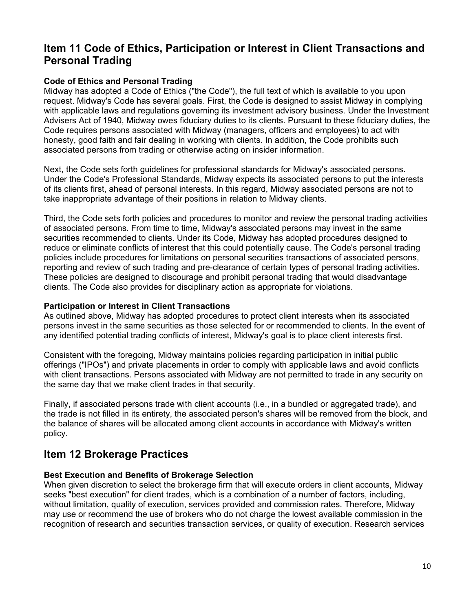## **Item 11 Code of Ethics, Participation or Interest in Client Transactions and Personal Trading**

### **Code of Ethics and Personal Trading**

Midway has adopted a Code of Ethics ("the Code"), the full text of which is available to you upon request. Midway's Code has several goals. First, the Code is designed to assist Midway in complying with applicable laws and regulations governing its investment advisory business. Under the Investment Advisers Act of 1940, Midway owes fiduciary duties to its clients. Pursuant to these fiduciary duties, the Code requires persons associated with Midway (managers, officers and employees) to act with honesty, good faith and fair dealing in working with clients. In addition, the Code prohibits such associated persons from trading or otherwise acting on insider information.

Next, the Code sets forth guidelines for professional standards for Midway's associated persons. Under the Code's Professional Standards, Midway expects its associated persons to put the interests of its clients first, ahead of personal interests. In this regard, Midway associated persons are not to take inappropriate advantage of their positions in relation to Midway clients.

Third, the Code sets forth policies and procedures to monitor and review the personal trading activities of associated persons. From time to time, Midway's associated persons may invest in the same securities recommended to clients. Under its Code, Midway has adopted procedures designed to reduce or eliminate conflicts of interest that this could potentially cause. The Code's personal trading policies include procedures for limitations on personal securities transactions of associated persons, reporting and review of such trading and pre-clearance of certain types of personal trading activities. These policies are designed to discourage and prohibit personal trading that would disadvantage clients. The Code also provides for disciplinary action as appropriate for violations.

### **Participation or Interest in Client Transactions**

As outlined above, Midway has adopted procedures to protect client interests when its associated persons invest in the same securities as those selected for or recommended to clients. In the event of any identified potential trading conflicts of interest, Midway's goal is to place client interests first.

Consistent with the foregoing, Midway maintains policies regarding participation in initial public offerings ("IPOs") and private placements in order to comply with applicable laws and avoid conflicts with client transactions. Persons associated with Midway are not permitted to trade in any security on the same day that we make client trades in that security.

Finally, if associated persons trade with client accounts (i.e., in a bundled or aggregated trade), and the trade is not filled in its entirety, the associated person's shares will be removed from the block, and the balance of shares will be allocated among client accounts in accordance with Midway's written policy.

### **Item 12 Brokerage Practices**

### **Best Execution and Benefits of Brokerage Selection**

When given discretion to select the brokerage firm that will execute orders in client accounts, Midway seeks "best execution" for client trades, which is a combination of a number of factors, including, without limitation, quality of execution, services provided and commission rates. Therefore, Midway may use or recommend the use of brokers who do not charge the lowest available commission in the recognition of research and securities transaction services, or quality of execution. Research services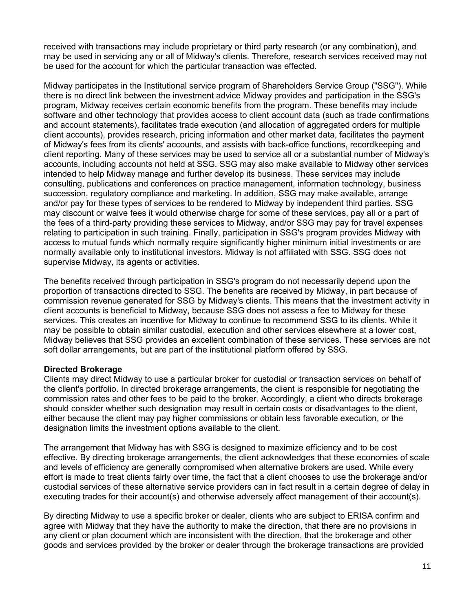received with transactions may include proprietary or third party research (or any combination), and may be used in servicing any or all of Midway's clients. Therefore, research services received may not be used for the account for which the particular transaction was effected.

Midway participates in the Institutional service program of Shareholders Service Group ("SSG"). While there is no direct link between the investment advice Midway provides and participation in the SSG's program, Midway receives certain economic benefits from the program. These benefits may include software and other technology that provides access to client account data (such as trade confirmations and account statements), facilitates trade execution (and allocation of aggregated orders for multiple client accounts), provides research, pricing information and other market data, facilitates the payment of Midway's fees from its clients' accounts, and assists with back-office functions, recordkeeping and client reporting. Many of these services may be used to service all or a substantial number of Midway's accounts, including accounts not held at SSG. SSG may also make available to Midway other services intended to help Midway manage and further develop its business. These services may include consulting, publications and conferences on practice management, information technology, business succession, regulatory compliance and marketing. In addition, SSG may make available, arrange and/or pay for these types of services to be rendered to Midway by independent third parties. SSG may discount or waive fees it would otherwise charge for some of these services, pay all or a part of the fees of a third-party providing these services to Midway, and/or SSG may pay for travel expenses relating to participation in such training. Finally, participation in SSG's program provides Midway with access to mutual funds which normally require significantly higher minimum initial investments or are normally available only to institutional investors. Midway is not affiliated with SSG. SSG does not supervise Midway, its agents or activities.

The benefits received through participation in SSG's program do not necessarily depend upon the proportion of transactions directed to SSG. The benefits are received by Midway, in part because of commission revenue generated for SSG by Midway's clients. This means that the investment activity in client accounts is beneficial to Midway, because SSG does not assess a fee to Midway for these services. This creates an incentive for Midway to continue to recommend SSG to its clients. While it may be possible to obtain similar custodial, execution and other services elsewhere at a lower cost, Midway believes that SSG provides an excellent combination of these services. These services are not soft dollar arrangements, but are part of the institutional platform offered by SSG.

#### **Directed Brokerage**

Clients may direct Midway to use a particular broker for custodial or transaction services on behalf of the client's portfolio. In directed brokerage arrangements, the client is responsible for negotiating the commission rates and other fees to be paid to the broker. Accordingly, a client who directs brokerage should consider whether such designation may result in certain costs or disadvantages to the client, either because the client may pay higher commissions or obtain less favorable execution, or the designation limits the investment options available to the client.

The arrangement that Midway has with SSG is designed to maximize efficiency and to be cost effective. By directing brokerage arrangements, the client acknowledges that these economies of scale and levels of efficiency are generally compromised when alternative brokers are used. While every effort is made to treat clients fairly over time, the fact that a client chooses to use the brokerage and/or custodial services of these alternative service providers can in fact result in a certain degree of delay in executing trades for their account(s) and otherwise adversely affect management of their account(s).

By directing Midway to use a specific broker or dealer, clients who are subject to ERISA confirm and agree with Midway that they have the authority to make the direction, that there are no provisions in any client or plan document which are inconsistent with the direction, that the brokerage and other goods and services provided by the broker or dealer through the brokerage transactions are provided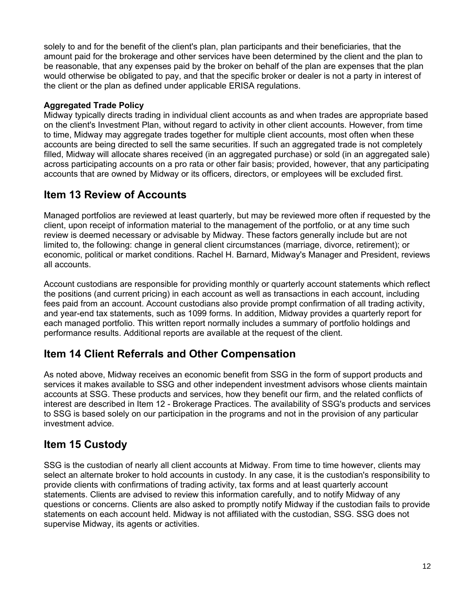solely to and for the benefit of the client's plan, plan participants and their beneficiaries, that the amount paid for the brokerage and other services have been determined by the client and the plan to be reasonable, that any expenses paid by the broker on behalf of the plan are expenses that the plan would otherwise be obligated to pay, and that the specific broker or dealer is not a party in interest of the client or the plan as defined under applicable ERISA regulations.

### **Aggregated Trade Policy**

Midway typically directs trading in individual client accounts as and when trades are appropriate based on the client's Investment Plan, without regard to activity in other client accounts. However, from time to time, Midway may aggregate trades together for multiple client accounts, most often when these accounts are being directed to sell the same securities. If such an aggregated trade is not completely filled, Midway will allocate shares received (in an aggregated purchase) or sold (in an aggregated sale) across participating accounts on a pro rata or other fair basis; provided, however, that any participating accounts that are owned by Midway or its officers, directors, or employees will be excluded first.

# **Item 13 Review of Accounts**

Managed portfolios are reviewed at least quarterly, but may be reviewed more often if requested by the client, upon receipt of information material to the management of the portfolio, or at any time such review is deemed necessary or advisable by Midway. These factors generally include but are not limited to, the following: change in general client circumstances (marriage, divorce, retirement); or economic, political or market conditions. Rachel H. Barnard, Midway's Manager and President, reviews all accounts.

Account custodians are responsible for providing monthly or quarterly account statements which reflect the positions (and current pricing) in each account as well as transactions in each account, including fees paid from an account. Account custodians also provide prompt confirmation of all trading activity, and year-end tax statements, such as 1099 forms. In addition, Midway provides a quarterly report for each managed portfolio. This written report normally includes a summary of portfolio holdings and performance results. Additional reports are available at the request of the client.

# **Item 14 Client Referrals and Other Compensation**

As noted above, Midway receives an economic benefit from SSG in the form of support products and services it makes available to SSG and other independent investment advisors whose clients maintain accounts at SSG. These products and services, how they benefit our firm, and the related conflicts of interest are described in Item 12 - Brokerage Practices. The availability of SSG's products and services to SSG is based solely on our participation in the programs and not in the provision of any particular investment advice.

# **Item 15 Custody**

SSG is the custodian of nearly all client accounts at Midway. From time to time however, clients may select an alternate broker to hold accounts in custody. In any case, it is the custodian's responsibility to provide clients with confirmations of trading activity, tax forms and at least quarterly account statements. Clients are advised to review this information carefully, and to notify Midway of any questions or concerns. Clients are also asked to promptly notify Midway if the custodian fails to provide statements on each account held. Midway is not affiliated with the custodian, SSG. SSG does not supervise Midway, its agents or activities.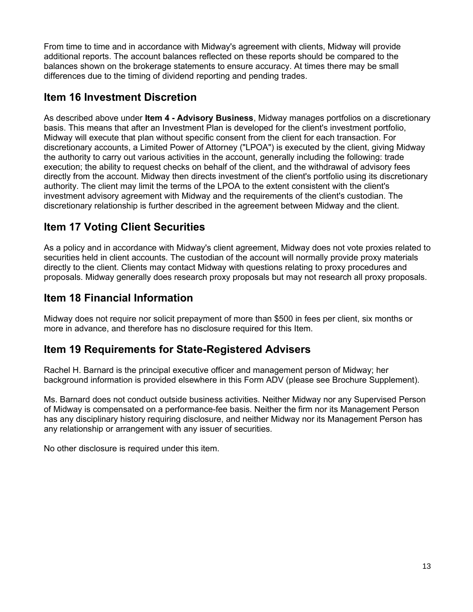From time to time and in accordance with Midway's agreement with clients, Midway will provide additional reports. The account balances reflected on these reports should be compared to the balances shown on the brokerage statements to ensure accuracy. At times there may be small differences due to the timing of dividend reporting and pending trades.

## **Item 16 Investment Discretion**

As described above under **Item 4 - Advisory Business**, Midway manages portfolios on a discretionary basis. This means that after an Investment Plan is developed for the client's investment portfolio, Midway will execute that plan without specific consent from the client for each transaction. For discretionary accounts, a Limited Power of Attorney ("LPOA") is executed by the client, giving Midway the authority to carry out various activities in the account, generally including the following: trade execution; the ability to request checks on behalf of the client, and the withdrawal of advisory fees directly from the account. Midway then directs investment of the client's portfolio using its discretionary authority. The client may limit the terms of the LPOA to the extent consistent with the client's investment advisory agreement with Midway and the requirements of the client's custodian. The discretionary relationship is further described in the agreement between Midway and the client.

# **Item 17 Voting Client Securities**

As a policy and in accordance with Midway's client agreement, Midway does not vote proxies related to securities held in client accounts. The custodian of the account will normally provide proxy materials directly to the client. Clients may contact Midway with questions relating to proxy procedures and proposals. Midway generally does research proxy proposals but may not research all proxy proposals.

# **Item 18 Financial Information**

Midway does not require nor solicit prepayment of more than \$500 in fees per client, six months or more in advance, and therefore has no disclosure required for this Item.

# **Item 19 Requirements for State-Registered Advisers**

Rachel H. Barnard is the principal executive officer and management person of Midway; her background information is provided elsewhere in this Form ADV (please see Brochure Supplement).

Ms. Barnard does not conduct outside business activities. Neither Midway nor any Supervised Person of Midway is compensated on a performance-fee basis. Neither the firm nor its Management Person has any disciplinary history requiring disclosure, and neither Midway nor its Management Person has any relationship or arrangement with any issuer of securities.

No other disclosure is required under this item.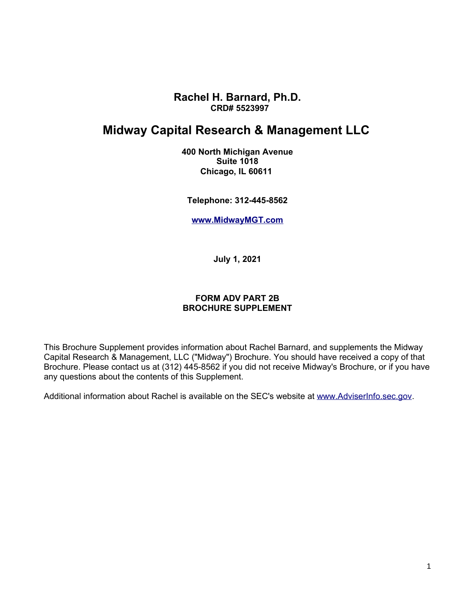**Rachel H. Barnard, Ph.D. CRD# 5523997**

# **Midway Capital Research & Management LLC**

**400 North Michigan Avenue Suite 1018 Chicago, IL 60611**

**Telephone: 312-445-8562**

**[www.MidwayMGT.com](http://www.MidwayMGT.com/)**

**July 1, 2021**

### **FORM ADV PART 2B BROCHURE SUPPLEMENT**

This Brochure Supplement provides information about Rachel Barnard, and supplements the Midway Capital Research & Management, LLC ("Midway") Brochure. You should have received a copy of that Brochure. Please contact us at (312) 445-8562 if you did not receive Midway's Brochure, or if you have any questions about the contents of this Supplement.

Additional information about Rachel is available on the SEC's website at [www.AdviserInfo.sec.gov.](http://www.AdviserInfo.sec.gov/)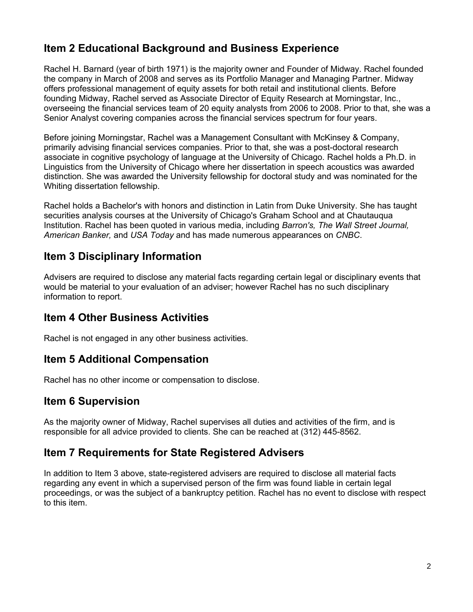# **Item 2 Educational Background and Business Experience**

Rachel H. Barnard (year of birth 1971) is the majority owner and Founder of Midway. Rachel founded the company in March of 2008 and serves as its Portfolio Manager and Managing Partner. Midway offers professional management of equity assets for both retail and institutional clients. Before founding Midway, Rachel served as Associate Director of Equity Research at Morningstar, Inc., overseeing the financial services team of 20 equity analysts from 2006 to 2008. Prior to that, she was a Senior Analyst covering companies across the financial services spectrum for four years.

Before joining Morningstar, Rachel was a Management Consultant with McKinsey & Company, primarily advising financial services companies. Prior to that, she was a post-doctoral research associate in cognitive psychology of language at the University of Chicago. Rachel holds a Ph.D. in Linguistics from the University of Chicago where her dissertation in speech acoustics was awarded distinction. She was awarded the University fellowship for doctoral study and was nominated for the Whiting dissertation fellowship.

Rachel holds a Bachelor's with honors and distinction in Latin from Duke University. She has taught securities analysis courses at the University of Chicago's Graham School and at Chautauqua Institution. Rachel has been quoted in various media, including *Barron's, The Wall Street Journal, American Banker,* and *USA Today* and has made numerous appearances on *CNBC*.

## **Item 3 Disciplinary Information**

Advisers are required to disclose any material facts regarding certain legal or disciplinary events that would be material to your evaluation of an adviser; however Rachel has no such disciplinary information to report.

## **Item 4 Other Business Activities**

Rachel is not engaged in any other business activities.

## **Item 5 Additional Compensation**

Rachel has no other income or compensation to disclose.

## **Item 6 Supervision**

As the majority owner of Midway, Rachel supervises all duties and activities of the firm, and is responsible for all advice provided to clients. She can be reached at (312) 445-8562.

## **Item 7 Requirements for State Registered Advisers**

In addition to Item 3 above, state-registered advisers are required to disclose all material facts regarding any event in which a supervised person of the firm was found liable in certain legal proceedings, or was the subject of a bankruptcy petition. Rachel has no event to disclose with respect to this item.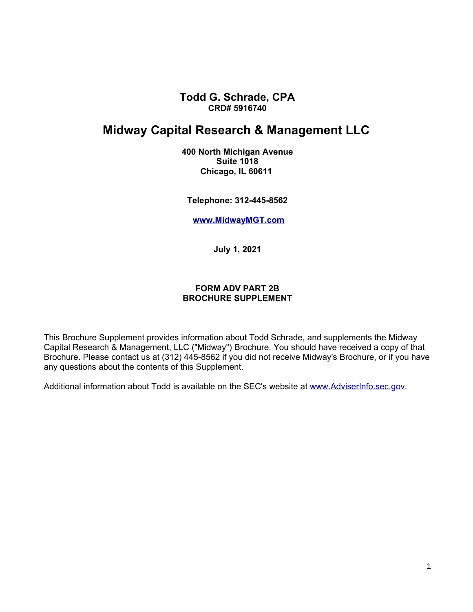**Todd G. Schrade, CPA CRD# 5916740**

## **Midway Capital Research & Management LLC**

**400 North Michigan Avenue Suite 1018 Chicago, IL 60611**

**Telephone: 312-445-8562**

**[www.MidwayMGT.com](http://www.MidwayMGT.com/)**

**July 1, 2021**

#### **FORM ADV PART 2B BROCHURE SUPPLEMENT**

This Brochure Supplement provides information about Todd Schrade, and supplements the Midway Capital Research & Management, LLC ("Midway") Brochure. You should have received a copy of that Brochure. Please contact us at (312) 445-8562 if you did not receive Midway's Brochure, or if you have any questions about the contents of this Supplement.

Additional information about Todd is available on the SEC's website at [www.AdviserInfo.sec.gov.](http://www.AdviserInfo.sec.gov/)